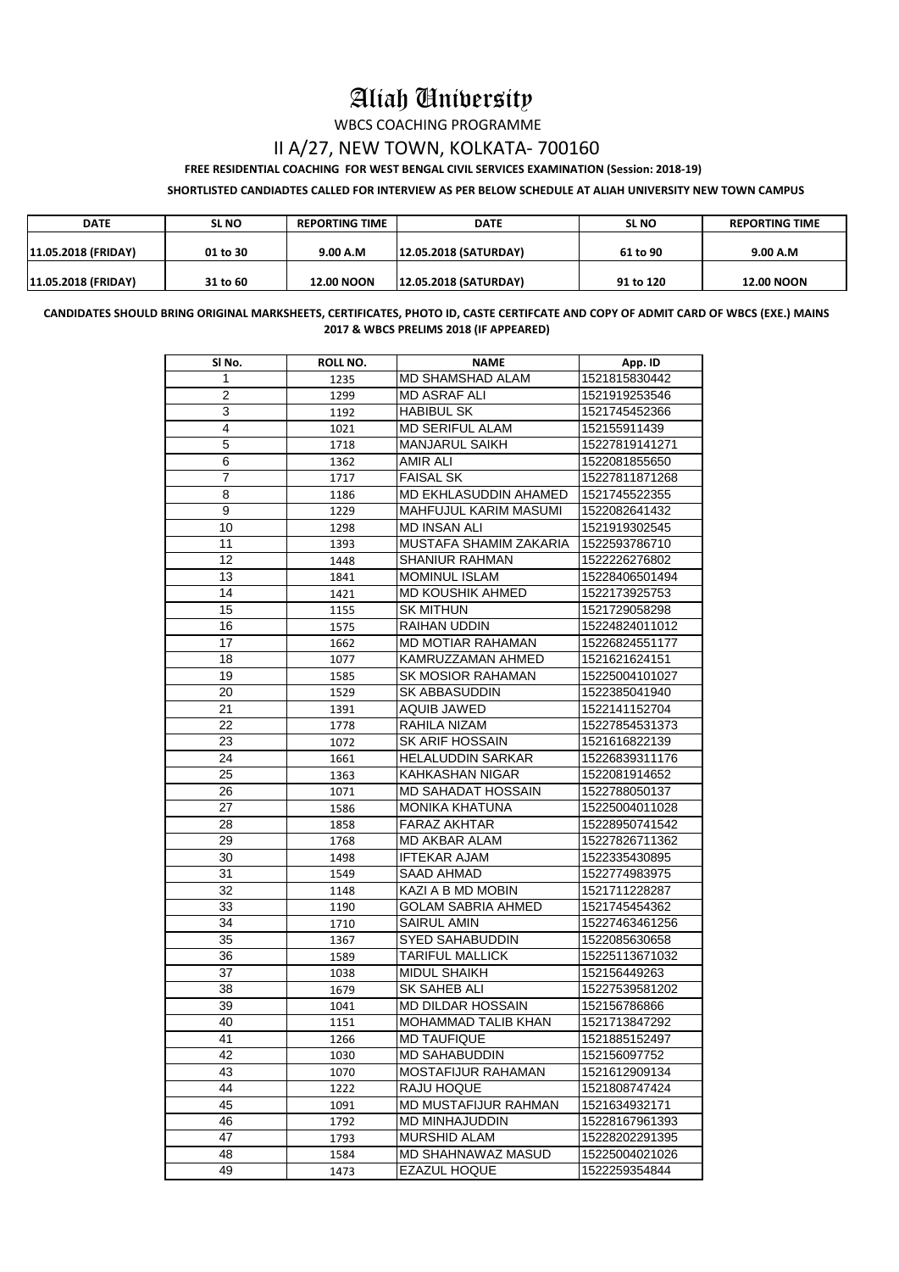## Aliah University

WBCS COACHING PROGRAMME

## II A/27, NEW TOWN, KOLKATA- 700160

 **FREE RESIDENTIAL COACHING FOR WEST BENGAL CIVIL SERVICES EXAMINATION (Session: 2018-19)**

**SHORTLISTED CANDIADTES CALLED FOR INTERVIEW AS PER BELOW SCHEDULE AT ALIAH UNIVERSITY NEW TOWN CAMPUS**

| <b>DATE</b>                | <b>SL NO</b> | <b>REPORTING TIME</b> | <b>DATE</b>                  | <b>SL NO</b> | <b>REPORTING TIME</b> |
|----------------------------|--------------|-----------------------|------------------------------|--------------|-----------------------|
| <b>11.05.2018 (FRIDAY)</b> | 01 to 30     | 9.00 A.M              | <b>12.05.2018 (SATURDAY)</b> | 61 to 90     | 9.00 A.M              |
| <b>11.05.2018 (FRIDAY)</b> | 31 to 60     | <b>12.00 NOON</b>     | <b>12.05.2018 (SATURDAY)</b> | 91 to 120    | <b>12.00 NOON</b>     |

**CANDIDATES SHOULD BRING ORIGINAL MARKSHEETS, CERTIFICATES, PHOTO ID, CASTE CERTIFCATE AND COPY OF ADMIT CARD OF WBCS (EXE.) MAINS 2017 & WBCS PRELIMS 2018 (IF APPEARED)**

| SI No.         | <b>ROLL NO.</b> | <b>NAME</b>                                      | App. ID                         |
|----------------|-----------------|--------------------------------------------------|---------------------------------|
| 1              | 1235            | <b>MD SHAMSHAD ALAM</b>                          | 1521815830442                   |
| $\overline{2}$ | 1299            | <b>MD ASRAF ALI</b>                              | 1521919253546                   |
| 3              | 1192            | <b>HABIBUL SK</b>                                | 1521745452366                   |
| 4              | 1021            | <b>MD SERIFUL ALAM</b>                           | 152155911439                    |
| 5              | 1718            | <b>MANJARUL SAIKH</b>                            | 15227819141271                  |
| 6              | 1362            | <b>AMIR ALI</b>                                  | 1522081855650                   |
| $\overline{7}$ | 1717            | <b>FAISAL SK</b>                                 | 15227811871268                  |
| 8              | 1186            | <b>MD EKHLASUDDIN AHAMED</b>                     | 1521745522355                   |
| 9              | 1229            | <b>MAHFUJUL KARIM MASUMI</b>                     | 1522082641432                   |
| 10             | 1298            | <b>MD INSAN ALI</b>                              | 1521919302545                   |
| 11             | 1393            | MUSTAFA SHAMIM ZAKARIA                           | 1522593786710                   |
| 12             | 1448            | <b>SHANIUR RAHMAN</b>                            | 1522226276802                   |
| 13             | 1841            | <b>MOMINUL ISLAM</b>                             | 15228406501494                  |
| 14             | 1421            | <b>MD KOUSHIK AHMED</b>                          | 1522173925753                   |
| 15             | 1155            | <b>SK MITHUN</b>                                 | 1521729058298                   |
| 16             | 1575            | <b>RAIHAN UDDIN</b>                              | 15224824011012                  |
| 17             | 1662            | <b>MD MOTIAR RAHAMAN</b>                         | 15226824551177                  |
| 18             | 1077            | KAMRUZZAMAN AHMED                                | 1521621624151                   |
| 19             | 1585            | <b>SK MOSIOR RAHAMAN</b>                         | 15225004101027                  |
| 20             | 1529            | <b>SK ABBASUDDIN</b>                             | 1522385041940                   |
| 21             | 1391            | <b>AQUIB JAWED</b>                               | 1522141152704                   |
| 22             | 1778            | RAHILA NIZAM                                     | 15227854531373                  |
| 23             | 1072            | <b>SK ARIF HOSSAIN</b>                           | 1521616822139                   |
| 24             | 1661            | <b>HELALUDDIN SARKAR</b>                         | 15226839311176                  |
| 25             | 1363            | <b>KAHKASHAN NIGAR</b>                           | 1522081914652                   |
| 26             | 1071            | <b>MD SAHADAT HOSSAIN</b>                        | 1522788050137                   |
| 27             | 1586            | <b>MONIKA KHATUNA</b>                            | 15225004011028                  |
| 28             | 1858            | <b>FARAZ AKHTAR</b>                              | 15228950741542                  |
| 29             | 1768            | <b>MD AKBAR ALAM</b>                             | 15227826711362                  |
| 30             | 1498            | <b>IFTEKAR AJAM</b>                              | 1522335430895                   |
| 31             | 1549            | SAAD AHMAD                                       | 1522774983975                   |
| 32             | 1148            | KAZI A B MD MOBIN                                | 1521711228287                   |
| 33             | 1190            | <b>GOLAM SABRIA AHMED</b>                        | 1521745454362                   |
| 34             | 1710            | <b>SAIRUL AMIN</b>                               | 15227463461256                  |
| 35             | 1367            | <b>SYED SAHABUDDIN</b>                           | 1522085630658                   |
| 36             | 1589            | <b>TARIFUL MALLICK</b>                           | 15225113671032                  |
| 37             | 1038            | <b>MIDUL SHAIKH</b>                              | 152156449263                    |
| 38             | 1679            | SK SAHEB ALI                                     | 15227539581202                  |
| 39             | 1041            | <b>MD DILDAR HOSSAIN</b>                         | 152156786866                    |
| 40             | 1151            | <b>MOHAMMAD TALIB KHAN</b>                       | 1521713847292                   |
| 41             | 1266            | <b>MD TAUFIQUE</b>                               | 1521885152497                   |
| 42             | 1030            | <b>MD SAHABUDDIN</b>                             | 152156097752                    |
| 43             | 1070            | <b>MOSTAFIJUR RAHAMAN</b>                        | 1521612909134                   |
| 44             | 1222            | RAJU HOQUE                                       | 1521808747424                   |
| 45             | 1091            | <b>MD MUSTAFIJUR RAHMAN</b>                      | 1521634932171                   |
| 46             |                 | <b>MD MINHAJUDDIN</b>                            | 15228167961393                  |
| 47             | 1792            | <b>MURSHID ALAM</b>                              |                                 |
|                | 1793            |                                                  | 15228202291395                  |
| 48<br>49       | 1584<br>1473    | <b>MD SHAHNAWAZ MASUD</b><br><b>EZAZUL HOQUE</b> | 15225004021026<br>1522259354844 |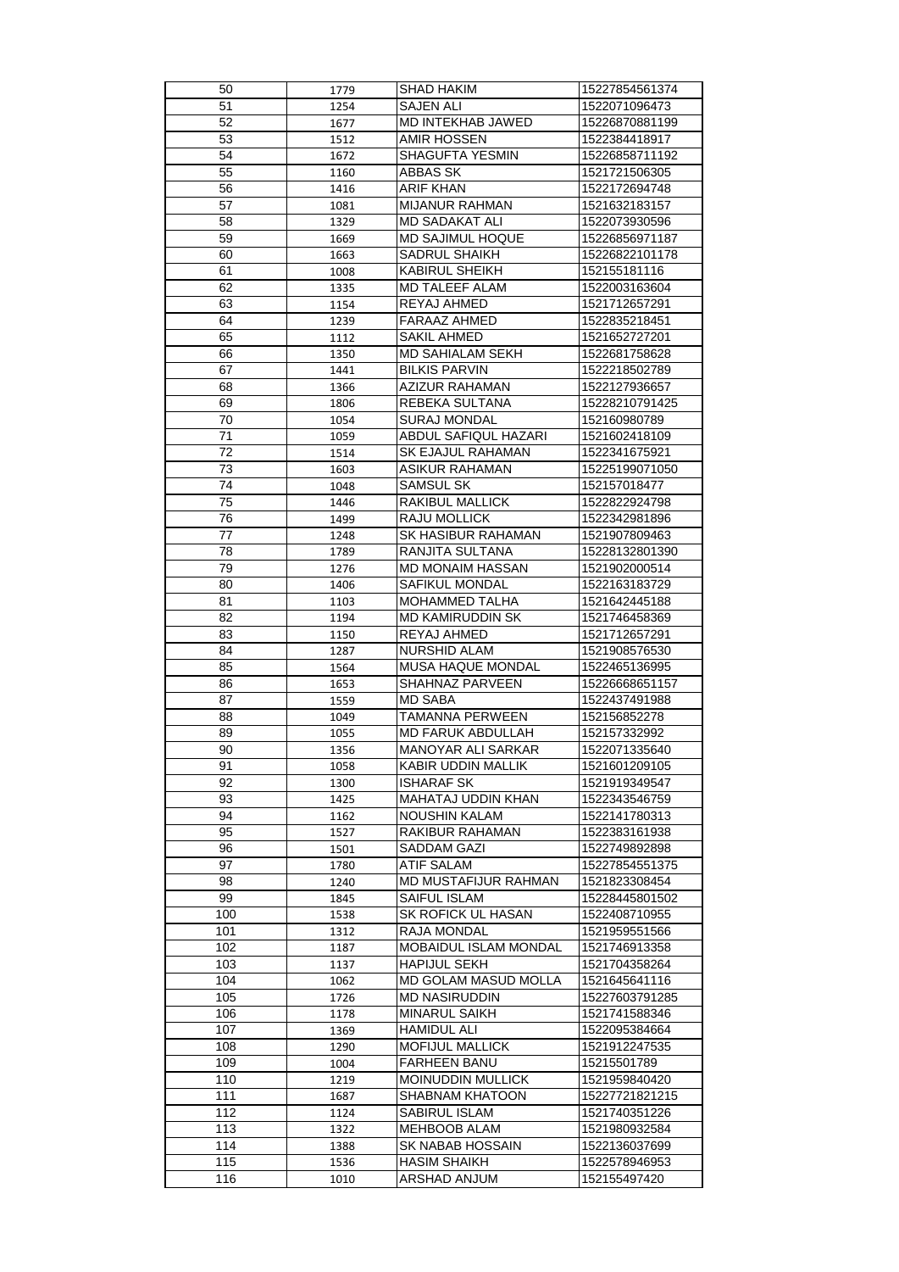| 50  | 1779 | <b>SHAD HAKIM</b>            | 15227854561374 |
|-----|------|------------------------------|----------------|
| 51  | 1254 | <b>SAJEN ALI</b>             | 1522071096473  |
| 52  | 1677 | <b>MD INTEKHAB JAWED</b>     | 15226870881199 |
| 53  | 1512 | <b>AMIR HOSSEN</b>           | 1522384418917  |
| 54  | 1672 | <b>SHAGUFTA YESMIN</b>       | 15226858711192 |
| 55  | 1160 | <b>ABBAS SK</b>              | 1521721506305  |
| 56  |      | <b>ARIF KHAN</b>             | 1522172694748  |
|     | 1416 |                              |                |
| 57  | 1081 | <b>MIJANUR RAHMAN</b>        | 1521632183157  |
| 58  | 1329 | <b>MD SADAKAT ALI</b>        | 1522073930596  |
| 59  | 1669 | <b>MD SAJIMUL HOQUE</b>      | 15226856971187 |
| 60  | 1663 | <b>SADRUL SHAIKH</b>         | 15226822101178 |
| 61  | 1008 | <b>KABIRUL SHEIKH</b>        | 152155181116   |
| 62  | 1335 | <b>MD TALEEF ALAM</b>        | 1522003163604  |
| 63  | 1154 | REYAJ AHMED                  | 1521712657291  |
| 64  | 1239 | <b>FARAAZ AHMED</b>          | 1522835218451  |
| 65  | 1112 | <b>SAKIL AHMED</b>           | 1521652727201  |
| 66  | 1350 | <b>MD SAHIALAM SEKH</b>      | 1522681758628  |
| 67  | 1441 | <b>BILKIS PARVIN</b>         | 1522218502789  |
| 68  |      | AZIZUR RAHAMAN               | 1522127936657  |
|     | 1366 |                              |                |
| 69  | 1806 | REBEKA SULTANA               | 15228210791425 |
| 70  | 1054 | <b>SURAJ MONDAL</b>          | 152160980789   |
| 71  | 1059 | <b>ABDUL SAFIQUL HAZARI</b>  | 1521602418109  |
| 72  | 1514 | <b>SK EJAJUL RAHAMAN</b>     | 1522341675921  |
| 73  | 1603 | <b>ASIKUR RAHAMAN</b>        | 15225199071050 |
| 74  | 1048 | <b>SAMSUL SK</b>             | 152157018477   |
| 75  | 1446 | <b>RAKIBUL MALLICK</b>       | 1522822924798  |
| 76  | 1499 | <b>RAJU MOLLICK</b>          | 1522342981896  |
| 77  | 1248 | <b>SK HASIBUR RAHAMAN</b>    | 1521907809463  |
| 78  | 1789 | RANJITA SULTANA              | 15228132801390 |
| 79  | 1276 | <b>MD MONAIM HASSAN</b>      | 1521902000514  |
|     |      |                              |                |
| 80  | 1406 | <b>SAFIKUL MONDAL</b>        | 1522163183729  |
| 81  | 1103 | <b>MOHAMMED TALHA</b>        | 1521642445188  |
| 82  | 1194 | <b>MD KAMIRUDDIN SK</b>      | 1521746458369  |
| 83  | 1150 | REYAJ AHMED                  | 1521712657291  |
| 84  | 1287 | <b>NURSHID ALAM</b>          | 1521908576530  |
| 85  | 1564 | <b>MUSA HAQUE MONDAL</b>     | 1522465136995  |
| 86  | 1653 | <b>SHAHNAZ PARVEEN</b>       | 15226668651157 |
| 87  | 1559 | <b>MD SABA</b>               | 1522437491988  |
| 88  | 1049 | <b>TAMANNA PERWEEN</b>       | 152156852278   |
| 89  | 1055 | <b>MD FARUK ABDULLAH</b>     | 152157332992   |
| 90  | 1356 | <b>MANOYAR ALI SARKAR</b>    | 1522071335640  |
| 91  | 1058 | <b>KABIR UDDIN MALLIK</b>    | 1521601209105  |
| 92  |      | <b>ISHARAF SK</b>            | 1521919349547  |
|     | 1300 |                              |                |
| 93  | 1425 | <b>MAHATAJ UDDIN KHAN</b>    | 1522343546759  |
| 94  | 1162 | <b>NOUSHIN KALAM</b>         | 1522141780313  |
| 95  | 1527 | <b>RAKIBUR RAHAMAN</b>       | 1522383161938  |
| 96  | 1501 | <b>SADDAM GAZI</b>           | 1522749892898  |
| 97  | 1780 | <b>ATIF SALAM</b>            | 15227854551375 |
| 98  | 1240 | <b>MD MUSTAFIJUR RAHMAN</b>  | 1521823308454  |
| 99  | 1845 | <b>SAIFUL ISLAM</b>          | 15228445801502 |
| 100 | 1538 | <b>SK ROFICK UL HASAN</b>    | 1522408710955  |
| 101 | 1312 | <b>RAJA MONDAL</b>           | 1521959551566  |
| 102 | 1187 | <b>MOBAIDUL ISLAM MONDAL</b> | 1521746913358  |
| 103 | 1137 | <b>HAPIJUL SEKH</b>          | 1521704358264  |
| 104 |      | <b>MD GOLAM MASUD MOLLA</b>  | 1521645641116  |
|     | 1062 |                              |                |
| 105 | 1726 | <b>MD NASIRUDDIN</b>         | 15227603791285 |
| 106 | 1178 | <b>MINARUL SAIKH</b>         | 1521741588346  |
| 107 | 1369 | <b>HAMIDUL ALI</b>           | 1522095384664  |
| 108 | 1290 | <b>MOFIJUL MALLICK</b>       | 1521912247535  |
| 109 | 1004 | <b>FARHEEN BANU</b>          | 15215501789    |
| 110 | 1219 | <b>MOINUDDIN MULLICK</b>     | 1521959840420  |
| 111 | 1687 | <b>SHABNAM KHATOON</b>       | 15227721821215 |
| 112 | 1124 | <b>SABIRUL ISLAM</b>         | 1521740351226  |
| 113 | 1322 | <b>MEHBOOB ALAM</b>          | 1521980932584  |
| 114 | 1388 | <b>SK NABAB HOSSAIN</b>      | 1522136037699  |
|     |      | <b>HASIM SHAIKH</b>          |                |
| 115 | 1536 |                              | 1522578946953  |
| 116 | 1010 | <b>ARSHAD ANJUM</b>          | 152155497420   |